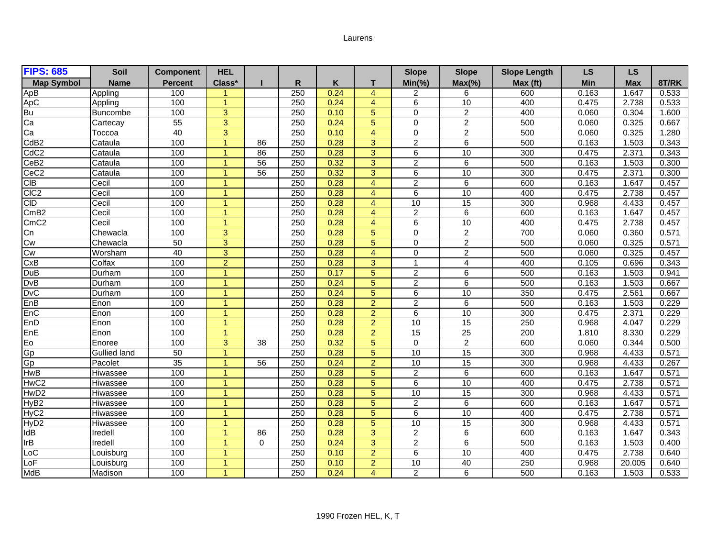## Laurens

| <b>FIPS: 685</b>  | Soil                | <b>Component</b> | <b>HEL</b>           |                 |                  |      |                | <b>Slope</b>    | <b>Slope</b>            | <b>Slope Length</b> | LS    | <b>LS</b>  |       |
|-------------------|---------------------|------------------|----------------------|-----------------|------------------|------|----------------|-----------------|-------------------------|---------------------|-------|------------|-------|
| <b>Map Symbol</b> | <b>Name</b>         | <b>Percent</b>   | Class*               |                 | R                | Κ    | т              | $Min(\% )$      | $Max(\% )$              | Max (ft)            | Min   | <b>Max</b> | 8T/RK |
|                   | Appling             | 100              |                      |                 | $\overline{250}$ | 0.24 | $\overline{4}$ | 2               | 6                       | 600                 | 0.163 | 1.647      | 0.533 |
| ApB<br>ApC        | Appling             | 100              |                      |                 | 250              | 0.24 | $\overline{4}$ | $6\overline{6}$ | 10                      | 400                 | 0.475 | 2.738      | 0.533 |
| $\overline{Bu}$   | <b>Buncombe</b>     | 100              | 3                    |                 | 250              | 0.10 | 5              | $\Omega$        | $\overline{2}$          | 400                 | 0.060 | 0.304      | 1.600 |
| Ca                | Cartecay            | 55               | 3                    |                 | 250              | 0.24 | 5              | $\mathbf 0$     | $\overline{2}$          | 500                 | 0.060 | 0.325      | 0.667 |
| Ca                | Госсоа              | 40               | 3                    |                 | 250              | 0.10 | $\overline{4}$ | 0               | $\overline{2}$          | 500                 | 0.060 | 0.325      | 1.280 |
| CdB <sub>2</sub>  | Cataula             | 100              | 1                    | 86              | 250              | 0.28 | 3              | $\overline{c}$  | 6                       | 500                 | 0.163 | 1.503      | 0.343 |
| CdC <sub>2</sub>  | Cataula             | 100              |                      | 86              | 250              | 0.28 | 3              | $6\overline{6}$ | 10                      | 300                 | 0.475 | 2.371      | 0.343 |
| CeB <sub>2</sub>  | Cataula             | 100              | 1                    | $\overline{56}$ | 250              | 0.32 | 3              | $\overline{2}$  | 6                       | 500                 | 0.163 | 1.503      | 0.300 |
| CeC <sub>2</sub>  | Cataula             | 100              | 1                    | 56              | 250              | 0.32 | $\overline{3}$ | 6               | 10                      | 300                 | 0.475 | 2.371      | 0.300 |
| <b>CIB</b>        | Cecil               | 100              | 1                    |                 | $\overline{250}$ | 0.28 | $\overline{4}$ | $\overline{c}$  | 6                       | 600                 | 0.163 | 1.647      | 0.457 |
| CIC <sub>2</sub>  | Cecil               | 100              | 1                    |                 | 250              | 0.28 | $\overline{4}$ | 6               | 10                      | 400                 | 0.475 | 2.738      | 0.457 |
| <b>CID</b>        | Cecil               | 100              | 1                    |                 | 250              | 0.28 | $\overline{4}$ | 10              | 15                      | 300                 | 0.968 | 4.433      | 0.457 |
| CmB2              | Cecil               | 100              | -1                   |                 | 250              | 0.28 | $\overline{4}$ | $\overline{c}$  | 6                       | 600                 | 0.163 | 1.647      | 0.457 |
| CmC <sub>2</sub>  | Cecil               | 100              | $\blacktriangleleft$ |                 | 250              | 0.28 | $\overline{4}$ | $\overline{6}$  | 10                      | 400                 | 0.475 | 2.738      | 0.457 |
| Cn                | Chewacla            | 100              | 3                    |                 | 250              | 0.28 | 5              | 0               | $\overline{2}$          | 700                 | 0.060 | 0.360      | 0.571 |
| Cw                | Chewacla            | 50               | 3                    |                 | 250              | 0.28 | 5              | $\mathbf 0$     | $\overline{2}$          | 500                 | 0.060 | 0.325      | 0.571 |
| Cw                | Worsham             | 40               | 3                    |                 | 250              | 0.28 | $\overline{4}$ | $\mathbf 0$     | $\overline{2}$          | 500                 | 0.060 | 0.325      | 0.457 |
| CxB               | Colfax              | 100              | $\overline{2}$       |                 | 250              | 0.28 | 3              | $\overline{1}$  | $\overline{\mathbf{4}}$ | 400                 | 0.105 | 0.696      | 0.343 |
| <b>DuB</b>        | Durham              | 100              | $\blacktriangleleft$ |                 | $\overline{250}$ | 0.17 | 5              | $\overline{2}$  | 6                       | 500                 | 0.163 | 1.503      | 0.941 |
| DvB               | Durham              | 100              | 1                    |                 | 250              | 0.24 | 5              | $\overline{2}$  | 6                       | 500                 | 0.163 | 1.503      | 0.667 |
| <b>DvC</b>        | Durham              | 100              | 1                    |                 | 250              | 0.24 | 5              | 6               | 10                      | 350                 | 0.475 | 2.561      | 0.667 |
| EnB               | Enon                | 100              | 1                    |                 | 250              | 0.28 | $\overline{2}$ | $\overline{c}$  | 6                       | 500                 | 0.163 | 1.503      | 0.229 |
| EnC               | Enon                | 100              | 1                    |                 | 250              | 0.28 | $\overline{2}$ | $\overline{6}$  | 10                      | 300                 | 0.475 | 2.371      | 0.229 |
| EnD               | Enon                | 100              | $\blacktriangleleft$ |                 | 250              | 0.28 | $\overline{2}$ | 10              | $\overline{15}$         | 250                 | 0.968 | 4.047      | 0.229 |
| EnE               | Enon                | 100              | 1                    |                 | 250              | 0.28 | $\overline{2}$ | 15              | 25                      | 200                 | 1.810 | 8.330      | 0.229 |
| Fo                | Enoree              | 100              | 3                    | 38              | 250              | 0.32 | 5              | 0               | $\overline{c}$          | 600                 | 0.060 | 0.344      | 0.500 |
| Gp                | <b>Gullied land</b> | 50               | 1                    |                 | 250              | 0.28 | $\overline{5}$ | 10              | 15                      | 300                 | 0.968 | 4.433      | 0.571 |
| $\overline{Gp}$   | Pacolet             | $\overline{35}$  | 1                    | 56              | 250              | 0.24 | $\overline{2}$ | 10              | $\overline{15}$         | 300                 | 0.968 | 4.433      | 0.267 |
| <b>HwB</b>        | Hiwassee            | 100              | $\overline{1}$       |                 | 250              | 0.28 | 5              | $\overline{2}$  | 6                       | 600                 | 0.163 | 1.647      | 0.571 |
| HwC <sub>2</sub>  | Hiwassee            | 100              | 1                    |                 | 250              | 0.28 | 5              | $6\overline{6}$ | 10                      | 400                 | 0.475 | 2.738      | 0.571 |
| HwD <sub>2</sub>  | Hiwassee            | 100              | 1                    |                 | 250              | 0.28 | 5              | 10              | 15                      | 300                 | 0.968 | 4.433      | 0.571 |
| HyB <sub>2</sub>  | Hiwassee            | 100              | 1                    |                 | 250              | 0.28 | 5              | $\overline{2}$  | 6                       | 600                 | 0.163 | 1.647      | 0.571 |
| HyC2              | Hiwassee            | 100              | $\overline{1}$       |                 | $\overline{250}$ | 0.28 | 5              | 6               | 10                      | 400                 | 0.475 | 2.738      | 0.571 |
| HyD <sub>2</sub>  | Hiwassee            | 100              | $\blacktriangleleft$ |                 | 250              | 0.28 | 5              | 10              | 15                      | 300                 | 0.968 | 4.433      | 0.571 |
| IdB               | Iredell             | 100              | -1                   | 86              | 250              | 0.28 | 3              | $\overline{c}$  | 6                       | 600                 | 0.163 | 1.647      | 0.343 |
| IrB               | Iredell             | 100              | 1                    | $\Omega$        | 250              | 0.24 | 3              | $\overline{2}$  | 6                       | 500                 | 0.163 | 1.503      | 0.400 |
| LoC               | Louisburg           | 100              | 1                    |                 | 250              | 0.10 | $\overline{2}$ | $\overline{6}$  | 10                      | 400                 | 0.475 | 2.738      | 0.640 |
| LoF               | Louisburg           | 100              | 1                    |                 | 250              | 0.10 | $\overline{2}$ | 10              | 40                      | 250                 | 0.968 | 20.005     | 0.640 |
| <b>MdB</b>        | Madison             | 100              |                      |                 | 250              | 0.24 | $\overline{4}$ | $\overline{2}$  | 6                       | 500                 | 0.163 | 1.503      | 0.533 |